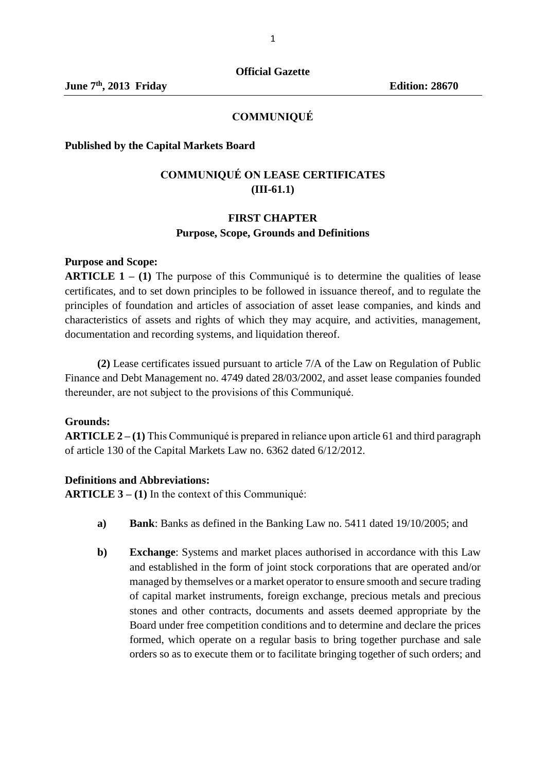#### **COMMUNIQUÉ**

#### **Published by the Capital Markets Board**

## **COMMUNIQUÉ ON LEASE CERTIFICATES (III-61.1)**

## **FIRST CHAPTER Purpose, Scope, Grounds and Definitions**

#### **Purpose and Scope:**

**ARTICLE 1 – (1)** The purpose of this Communiqué is to determine the qualities of lease certificates, and to set down principles to be followed in issuance thereof, and to regulate the principles of foundation and articles of association of asset lease companies, and kinds and characteristics of assets and rights of which they may acquire, and activities, management, documentation and recording systems, and liquidation thereof.

**(2)** Lease certificates issued pursuant to article 7/A of the Law on Regulation of Public Finance and Debt Management no. 4749 dated 28/03/2002, and asset lease companies founded thereunder, are not subject to the provisions of this Communiqué.

#### **Grounds:**

**ARTICLE 2 – (1)** This Communiqué is prepared in reliance upon article 61 and third paragraph of article 130 of the Capital Markets Law no. 6362 dated 6/12/2012.

#### **Definitions and Abbreviations:**

**ARTICLE 3 – (1)** In the context of this Communiqué:

- **a) Bank**: Banks as defined in the Banking Law no. 5411 dated 19/10/2005; and
- **b) Exchange**: Systems and market places authorised in accordance with this Law and established in the form of joint stock corporations that are operated and/or managed by themselves or a market operator to ensure smooth and secure trading of capital market instruments, foreign exchange, precious metals and precious stones and other contracts, documents and assets deemed appropriate by the Board under free competition conditions and to determine and declare the prices formed, which operate on a regular basis to bring together purchase and sale orders so as to execute them or to facilitate bringing together of such orders; and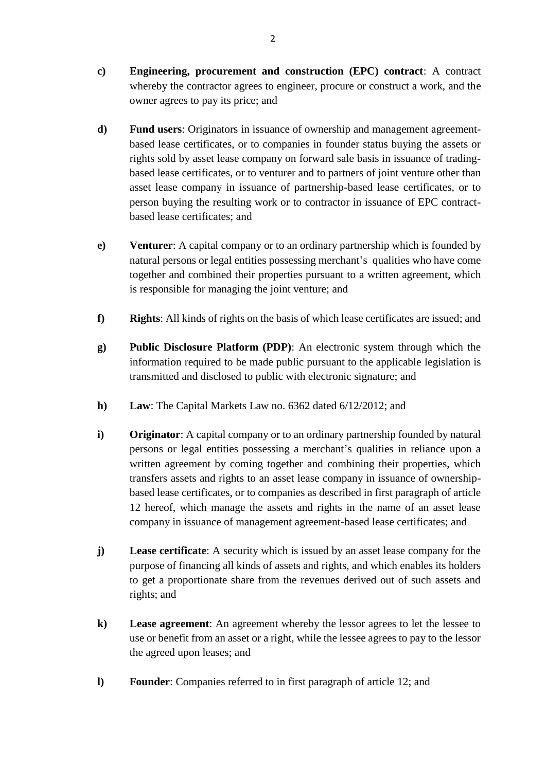- **c) Engineering, procurement and construction (EPC) contract**: A contract whereby the contractor agrees to engineer, procure or construct a work, and the owner agrees to pay its price; and
- **d) Fund users**: Originators in issuance of ownership and management agreementbased lease certificates, or to companies in founder status buying the assets or rights sold by asset lease company on forward sale basis in issuance of tradingbased lease certificates, or to venturer and to partners of joint venture other than asset lease company in issuance of partnership-based lease certificates, or to person buying the resulting work or to contractor in issuance of EPC contractbased lease certificates; and
- **e) Venturer**: A capital company or to an ordinary partnership which is founded by natural persons or legal entities possessing merchant's qualities who have come together and combined their properties pursuant to a written agreement, which is responsible for managing the joint venture; and
- **f) Rights**: All kinds of rights on the basis of which lease certificates are issued; and
- **g) Public Disclosure Platform (PDP)**: An electronic system through which the information required to be made public pursuant to the applicable legislation is transmitted and disclosed to public with electronic signature; and
- **h) Law**: The Capital Markets Law no. 6362 dated 6/12/2012; and
- **i) Originator**: A capital company or to an ordinary partnership founded by natural persons or legal entities possessing a merchant's qualities in reliance upon a written agreement by coming together and combining their properties, which transfers assets and rights to an asset lease company in issuance of ownershipbased lease certificates, or to companies as described in first paragraph of article 12 hereof, which manage the assets and rights in the name of an asset lease company in issuance of management agreement-based lease certificates; and
- **j) Lease certificate**: A security which is issued by an asset lease company for the purpose of financing all kinds of assets and rights, and which enables its holders to get a proportionate share from the revenues derived out of such assets and rights; and
- **k) Lease agreement**: An agreement whereby the lessor agrees to let the lessee to use or benefit from an asset or a right, while the lessee agrees to pay to the lessor the agreed upon leases; and
- **l) Founder**: Companies referred to in first paragraph of article 12; and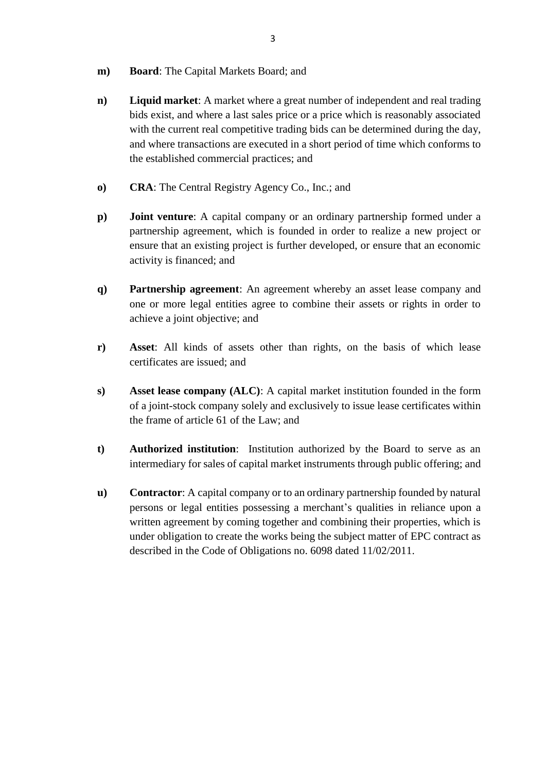- **m) Board**: The Capital Markets Board; and
- **n) Liquid market**: A market where a great number of independent and real trading bids exist, and where a last sales price or a price which is reasonably associated with the current real competitive trading bids can be determined during the day, and where transactions are executed in a short period of time which conforms to the established commercial practices; and
- **o) CRA**: The Central Registry Agency Co., Inc.; and
- **p) Joint venture**: A capital company or an ordinary partnership formed under a partnership agreement, which is founded in order to realize a new project or ensure that an existing project is further developed, or ensure that an economic activity is financed; and
- **q) Partnership agreement**: An agreement whereby an asset lease company and one or more legal entities agree to combine their assets or rights in order to achieve a joint objective; and
- **r) Asset**: All kinds of assets other than rights, on the basis of which lease certificates are issued; and
- **s) Asset lease company (ALC)**: A capital market institution founded in the form of a joint-stock company solely and exclusively to issue lease certificates within the frame of article 61 of the Law; and
- **t) Authorized institution**: Institution authorized by the Board to serve as an intermediary for sales of capital market instruments through public offering; and
- **u) Contractor**: A capital company or to an ordinary partnership founded by natural persons or legal entities possessing a merchant's qualities in reliance upon a written agreement by coming together and combining their properties, which is under obligation to create the works being the subject matter of EPC contract as described in the Code of Obligations no. 6098 dated 11/02/2011.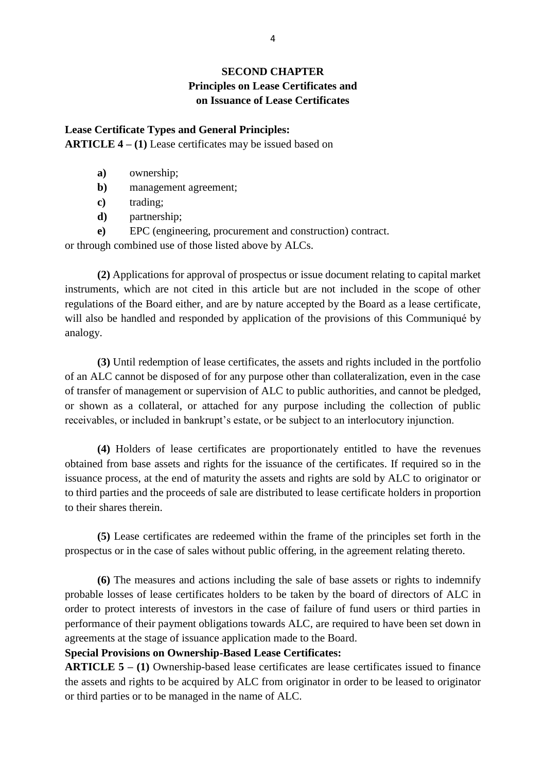# **SECOND CHAPTER Principles on Lease Certificates and on Issuance of Lease Certificates**

# **Lease Certificate Types and General Principles: ARTICLE 4 – (1)** Lease certificates may be issued based on

- **a)** ownership;
- **b**) management agreement:
- **c)** trading;
- **d)** partnership;
- **e)** EPC (engineering, procurement and construction) contract.

or through combined use of those listed above by ALCs.

**(2)** Applications for approval of prospectus or issue document relating to capital market instruments, which are not cited in this article but are not included in the scope of other regulations of the Board either, and are by nature accepted by the Board as a lease certificate, will also be handled and responded by application of the provisions of this Communiqué by analogy.

**(3)** Until redemption of lease certificates, the assets and rights included in the portfolio of an ALC cannot be disposed of for any purpose other than collateralization, even in the case of transfer of management or supervision of ALC to public authorities, and cannot be pledged, or shown as a collateral, or attached for any purpose including the collection of public receivables, or included in bankrupt's estate, or be subject to an interlocutory injunction.

**(4)** Holders of lease certificates are proportionately entitled to have the revenues obtained from base assets and rights for the issuance of the certificates. If required so in the issuance process, at the end of maturity the assets and rights are sold by ALC to originator or to third parties and the proceeds of sale are distributed to lease certificate holders in proportion to their shares therein.

**(5)** Lease certificates are redeemed within the frame of the principles set forth in the prospectus or in the case of sales without public offering, in the agreement relating thereto.

**(6)** The measures and actions including the sale of base assets or rights to indemnify probable losses of lease certificates holders to be taken by the board of directors of ALC in order to protect interests of investors in the case of failure of fund users or third parties in performance of their payment obligations towards ALC, are required to have been set down in agreements at the stage of issuance application made to the Board.

#### **Special Provisions on Ownership-Based Lease Certificates:**

**ARTICLE 5 – (1)** Ownership-based lease certificates are lease certificates issued to finance the assets and rights to be acquired by ALC from originator in order to be leased to originator or third parties or to be managed in the name of ALC.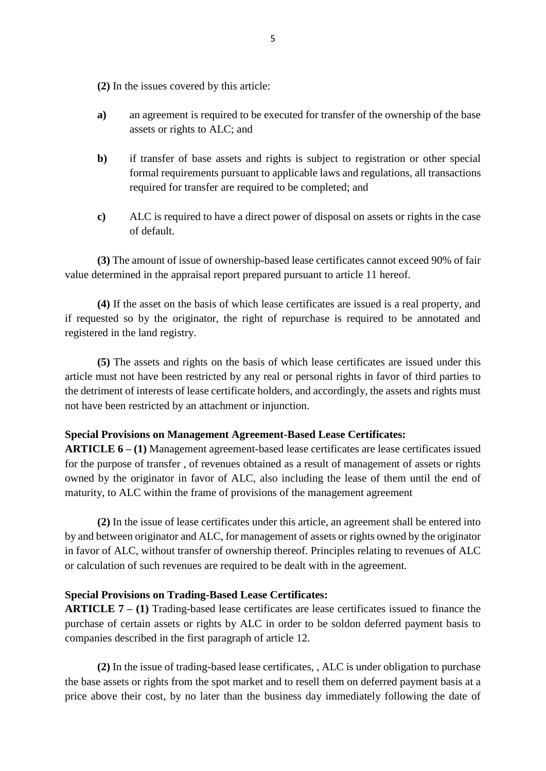**(2)** In the issues covered by this article:

- **a)** an agreement is required to be executed for transfer of the ownership of the base assets or rights to ALC; and
- **b)** if transfer of base assets and rights is subject to registration or other special formal requirements pursuant to applicable laws and regulations, all transactions required for transfer are required to be completed; and
- **c)** ALC is required to have a direct power of disposal on assets or rights in the case of default.

**(3)** The amount of issue of ownership-based lease certificates cannot exceed 90% of fair value determined in the appraisal report prepared pursuant to article 11 hereof.

**(4)** If the asset on the basis of which lease certificates are issued is a real property, and if requested so by the originator, the right of repurchase is required to be annotated and registered in the land registry.

**(5)** The assets and rights on the basis of which lease certificates are issued under this article must not have been restricted by any real or personal rights in favor of third parties to the detriment of interests of lease certificate holders, and accordingly, the assets and rights must not have been restricted by an attachment or injunction.

#### **Special Provisions on Management Agreement-Based Lease Certificates:**

**ARTICLE 6 – (1)** Management agreement-based lease certificates are lease certificates issued for the purpose of transfer , of revenues obtained as a result of management of assets or rights owned by the originator in favor of ALC, also including the lease of them until the end of maturity, to ALC within the frame of provisions of the management agreement

**(2)** In the issue of lease certificates under this article, an agreement shall be entered into by and between originator and ALC, for management of assets or rights owned by the originator in favor of ALC, without transfer of ownership thereof. Principles relating to revenues of ALC or calculation of such revenues are required to be dealt with in the agreement.

#### **Special Provisions on Trading-Based Lease Certificates:**

**ARTICLE 7 – (1)** Trading-based lease certificates are lease certificates issued to finance the purchase of certain assets or rights by ALC in order to be soldon deferred payment basis to companies described in the first paragraph of article 12.

**(2)** In the issue of trading-based lease certificates, , ALC is under obligation to purchase the base assets or rights from the spot market and to resell them on deferred payment basis at a price above their cost, by no later than the business day immediately following the date of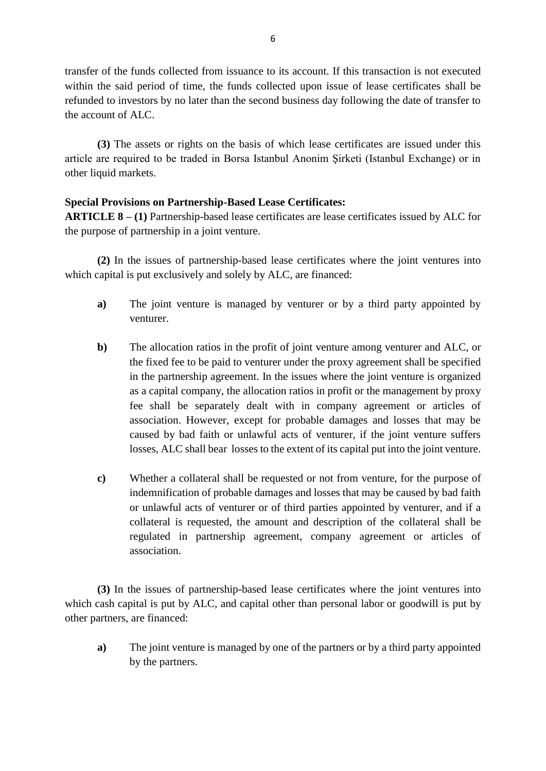transfer of the funds collected from issuance to its account. If this transaction is not executed within the said period of time, the funds collected upon issue of lease certificates shall be refunded to investors by no later than the second business day following the date of transfer to the account of ALC.

**(3)** The assets or rights on the basis of which lease certificates are issued under this article are required to be traded in Borsa Istanbul Anonim Şirketi (Istanbul Exchange) or in other liquid markets.

## **Special Provisions on Partnership-Based Lease Certificates:**

**ARTICLE 8 – (1)** Partnership-based lease certificates are lease certificates issued by ALC for the purpose of partnership in a joint venture.

**(2)** In the issues of partnership-based lease certificates where the joint ventures into which capital is put exclusively and solely by ALC, are financed:

- **a)** The joint venture is managed by venturer or by a third party appointed by venturer.
- **b)** The allocation ratios in the profit of joint venture among venturer and ALC, or the fixed fee to be paid to venturer under the proxy agreement shall be specified in the partnership agreement. In the issues where the joint venture is organized as a capital company, the allocation ratios in profit or the management by proxy fee shall be separately dealt with in company agreement or articles of association. However, except for probable damages and losses that may be caused by bad faith or unlawful acts of venturer, if the joint venture suffers losses, ALC shall bear losses to the extent of its capital put into the joint venture.
- **c)** Whether a collateral shall be requested or not from venture, for the purpose of indemnification of probable damages and losses that may be caused by bad faith or unlawful acts of venturer or of third parties appointed by venturer, and if a collateral is requested, the amount and description of the collateral shall be regulated in partnership agreement, company agreement or articles of association.

**(3)** In the issues of partnership-based lease certificates where the joint ventures into which cash capital is put by ALC, and capital other than personal labor or goodwill is put by other partners, are financed:

**a)** The joint venture is managed by one of the partners or by a third party appointed by the partners.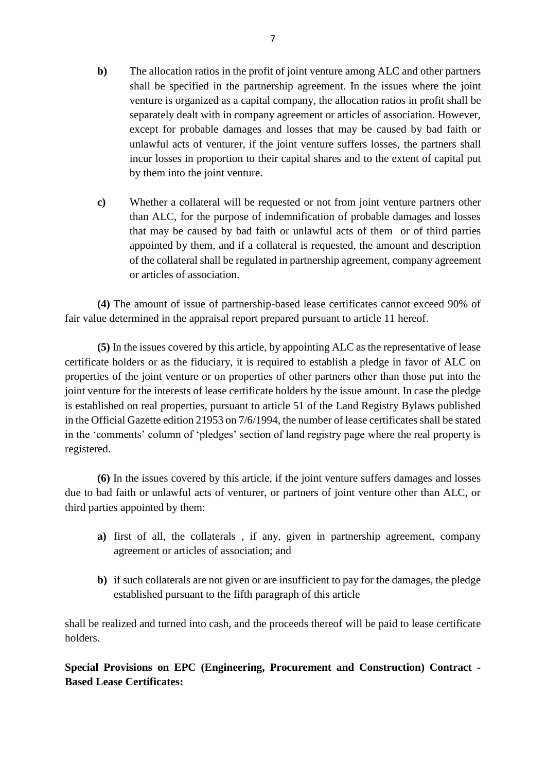- **b)** The allocation ratios in the profit of joint venture among ALC and other partners shall be specified in the partnership agreement. In the issues where the joint venture is organized as a capital company, the allocation ratios in profit shall be separately dealt with in company agreement or articles of association. However, except for probable damages and losses that may be caused by bad faith or unlawful acts of venturer, if the joint venture suffers losses, the partners shall incur losses in proportion to their capital shares and to the extent of capital put by them into the joint venture.
- **c)** Whether a collateral will be requested or not from joint venture partners other than ALC, for the purpose of indemnification of probable damages and losses that may be caused by bad faith or unlawful acts of them or of third parties appointed by them, and if a collateral is requested, the amount and description of the collateral shall be regulated in partnership agreement, company agreement or articles of association.

**(4)** The amount of issue of partnership-based lease certificates cannot exceed 90% of fair value determined in the appraisal report prepared pursuant to article 11 hereof.

**(5)** In the issues covered by this article, by appointing ALC as the representative of lease certificate holders or as the fiduciary, it is required to establish a pledge in favor of ALC on properties of the joint venture or on properties of other partners other than those put into the joint venture for the interests of lease certificate holders by the issue amount. In case the pledge is established on real properties, pursuant to article 51 of the Land Registry Bylaws published in the Official Gazette edition 21953 on 7/6/1994, the number of lease certificates shall be stated in the 'comments' column of 'pledges' section of land registry page where the real property is registered.

**(6)** In the issues covered by this article, if the joint venture suffers damages and losses due to bad faith or unlawful acts of venturer, or partners of joint venture other than ALC, or third parties appointed by them:

- **a)** first of all, the collaterals , if any, given in partnership agreement, company agreement or articles of association; and
- **b)** if such collaterals are not given or are insufficient to pay for the damages, the pledge established pursuant to the fifth paragraph of this article

shall be realized and turned into cash, and the proceeds thereof will be paid to lease certificate holders.

**Special Provisions on EPC (Engineering, Procurement and Construction) Contract - Based Lease Certificates:**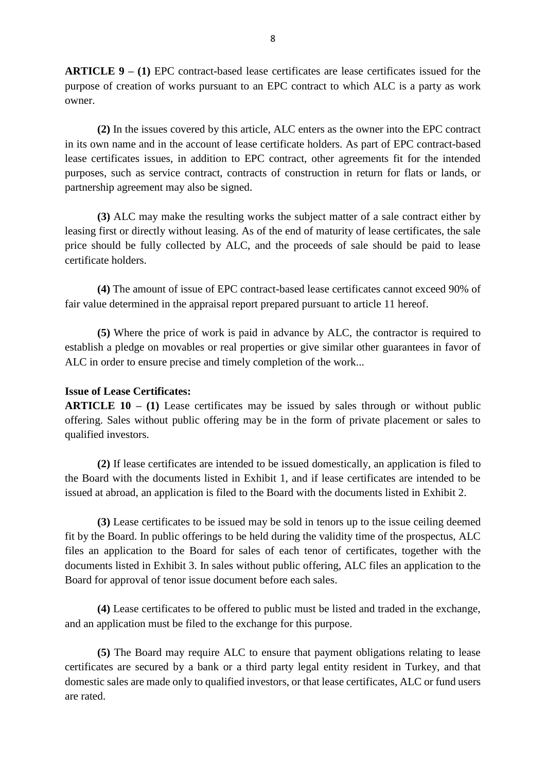**ARTICLE 9 – (1)** EPC contract-based lease certificates are lease certificates issued for the purpose of creation of works pursuant to an EPC contract to which ALC is a party as work owner.

**(2)** In the issues covered by this article, ALC enters as the owner into the EPC contract in its own name and in the account of lease certificate holders. As part of EPC contract-based lease certificates issues, in addition to EPC contract, other agreements fit for the intended purposes, such as service contract, contracts of construction in return for flats or lands, or partnership agreement may also be signed.

**(3)** ALC may make the resulting works the subject matter of a sale contract either by leasing first or directly without leasing. As of the end of maturity of lease certificates, the sale price should be fully collected by ALC, and the proceeds of sale should be paid to lease certificate holders.

**(4)** The amount of issue of EPC contract-based lease certificates cannot exceed 90% of fair value determined in the appraisal report prepared pursuant to article 11 hereof.

**(5)** Where the price of work is paid in advance by ALC, the contractor is required to establish a pledge on movables or real properties or give similar other guarantees in favor of ALC in order to ensure precise and timely completion of the work...

#### **Issue of Lease Certificates:**

**ARTICLE 10 – (1)** Lease certificates may be issued by sales through or without public offering. Sales without public offering may be in the form of private placement or sales to qualified investors.

**(2)** If lease certificates are intended to be issued domestically, an application is filed to the Board with the documents listed in Exhibit 1, and if lease certificates are intended to be issued at abroad, an application is filed to the Board with the documents listed in Exhibit 2.

**(3)** Lease certificates to be issued may be sold in tenors up to the issue ceiling deemed fit by the Board. In public offerings to be held during the validity time of the prospectus, ALC files an application to the Board for sales of each tenor of certificates, together with the documents listed in Exhibit 3. In sales without public offering, ALC files an application to the Board for approval of tenor issue document before each sales.

**(4)** Lease certificates to be offered to public must be listed and traded in the exchange, and an application must be filed to the exchange for this purpose.

**(5)** The Board may require ALC to ensure that payment obligations relating to lease certificates are secured by a bank or a third party legal entity resident in Turkey, and that domestic sales are made only to qualified investors, or that lease certificates, ALC or fund users are rated.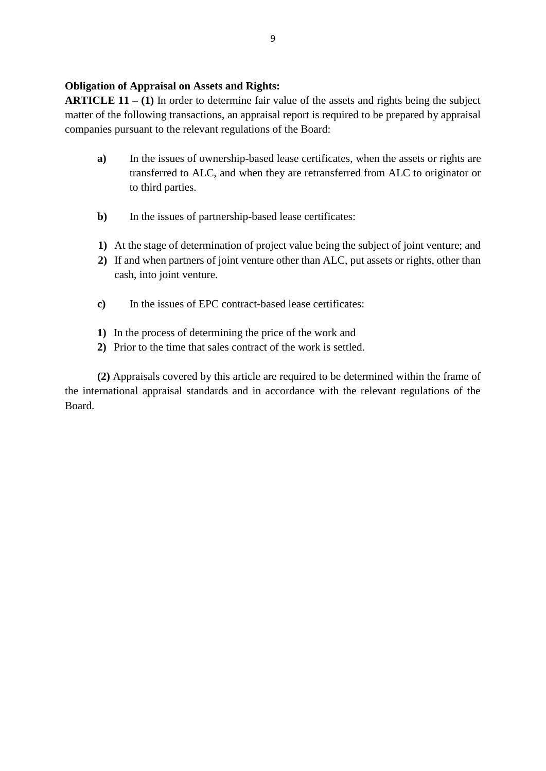## **Obligation of Appraisal on Assets and Rights:**

**ARTICLE 11 – (1)** In order to determine fair value of the assets and rights being the subject matter of the following transactions, an appraisal report is required to be prepared by appraisal companies pursuant to the relevant regulations of the Board:

- **a)** In the issues of ownership-based lease certificates, when the assets or rights are transferred to ALC, and when they are retransferred from ALC to originator or to third parties.
- **b**) In the issues of partnership-based lease certificates:
- **1)** At the stage of determination of project value being the subject of joint venture; and
- **2)** If and when partners of joint venture other than ALC, put assets or rights, other than cash, into joint venture.
- **c)** In the issues of EPC contract-based lease certificates:
- **1)** In the process of determining the price of the work and
- **2)** Prior to the time that sales contract of the work is settled.

**(2)** Appraisals covered by this article are required to be determined within the frame of the international appraisal standards and in accordance with the relevant regulations of the Board.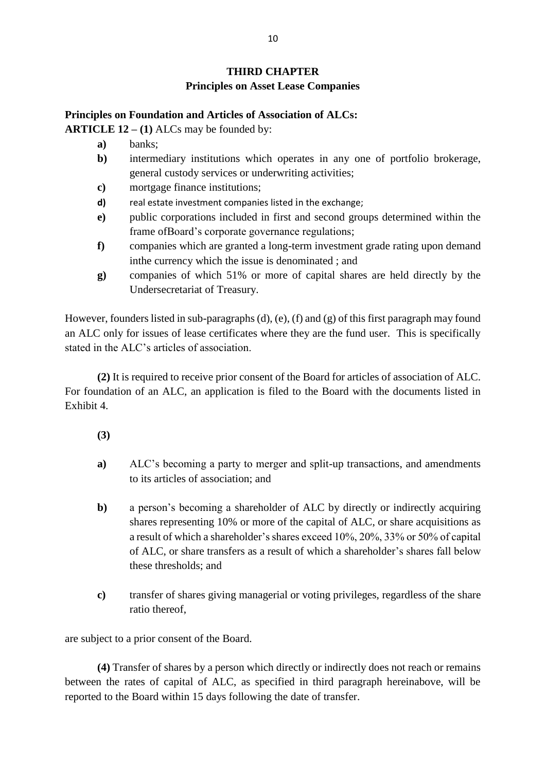## **THIRD CHAPTER**

## **Principles on Asset Lease Companies**

### **Principles on Foundation and Articles of Association of ALCs:**

**ARTICLE 12 – (1)** ALCs may be founded by:

- **a)** banks;
- **b**) intermediary institutions which operates in any one of portfolio brokerage, general custody services or underwriting activities;
- **c)** mortgage finance institutions;
- **d)** real estate investment companies listed in the exchange;
- **e)** public corporations included in first and second groups determined within the frame ofBoard's corporate governance regulations;
- **f)** companies which are granted a long-term investment grade rating upon demand inthe currency which the issue is denominated ; and
- **g)** companies of which 51% or more of capital shares are held directly by the Undersecretariat of Treasury.

However, founders listed in sub-paragraphs (d), (e), (f) and (g) of this first paragraph may found an ALC only for issues of lease certificates where they are the fund user. This is specifically stated in the ALC's articles of association.

**(2)** It is required to receive prior consent of the Board for articles of association of ALC. For foundation of an ALC, an application is filed to the Board with the documents listed in Exhibit 4.

- **(3)**
- **a)** ALC's becoming a party to merger and split-up transactions, and amendments to its articles of association; and
- **b**) a person's becoming a shareholder of ALC by directly or indirectly acquiring shares representing 10% or more of the capital of ALC, or share acquisitions as a result of which a shareholder's shares exceed 10%, 20%, 33% or 50% of capital of ALC, or share transfers as a result of which a shareholder's shares fall below these thresholds; and
- **c)** transfer of shares giving managerial or voting privileges, regardless of the share ratio thereof,

are subject to a prior consent of the Board.

**(4)** Transfer of shares by a person which directly or indirectly does not reach or remains between the rates of capital of ALC, as specified in third paragraph hereinabove, will be reported to the Board within 15 days following the date of transfer.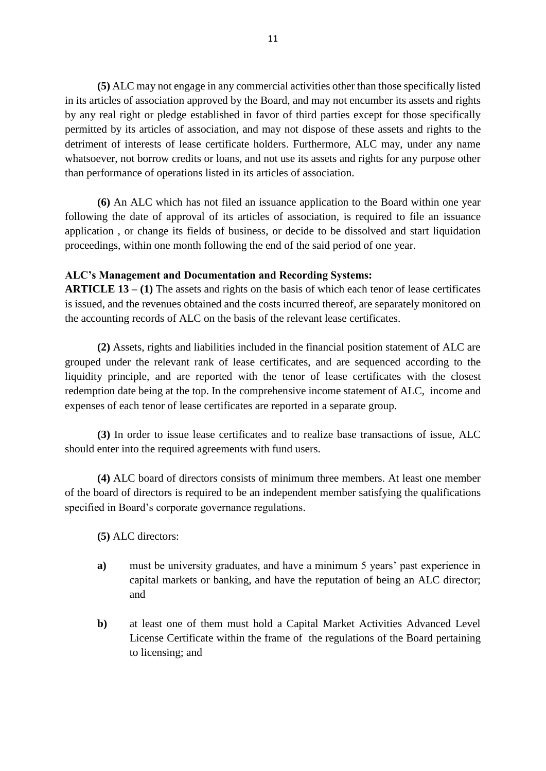**(5)** ALC may not engage in any commercial activities other than those specifically listed in its articles of association approved by the Board, and may not encumber its assets and rights by any real right or pledge established in favor of third parties except for those specifically permitted by its articles of association, and may not dispose of these assets and rights to the detriment of interests of lease certificate holders. Furthermore, ALC may, under any name whatsoever, not borrow credits or loans, and not use its assets and rights for any purpose other than performance of operations listed in its articles of association.

**(6)** An ALC which has not filed an issuance application to the Board within one year following the date of approval of its articles of association, is required to file an issuance application , or change its fields of business, or decide to be dissolved and start liquidation proceedings, within one month following the end of the said period of one year.

#### **ALC's Management and Documentation and Recording Systems:**

**ARTICLE 13 – (1)** The assets and rights on the basis of which each tenor of lease certificates is issued, and the revenues obtained and the costs incurred thereof, are separately monitored on the accounting records of ALC on the basis of the relevant lease certificates.

**(2)** Assets, rights and liabilities included in the financial position statement of ALC are grouped under the relevant rank of lease certificates, and are sequenced according to the liquidity principle, and are reported with the tenor of lease certificates with the closest redemption date being at the top. In the comprehensive income statement of ALC, income and expenses of each tenor of lease certificates are reported in a separate group.

**(3)** In order to issue lease certificates and to realize base transactions of issue, ALC should enter into the required agreements with fund users.

**(4)** ALC board of directors consists of minimum three members. At least one member of the board of directors is required to be an independent member satisfying the qualifications specified in Board's corporate governance regulations.

- **(5)** ALC directors:
- **a)** must be university graduates, and have a minimum 5 years' past experience in capital markets or banking, and have the reputation of being an ALC director; and
- **b**) at least one of them must hold a Capital Market Activities Advanced Level License Certificate within the frame of the regulations of the Board pertaining to licensing; and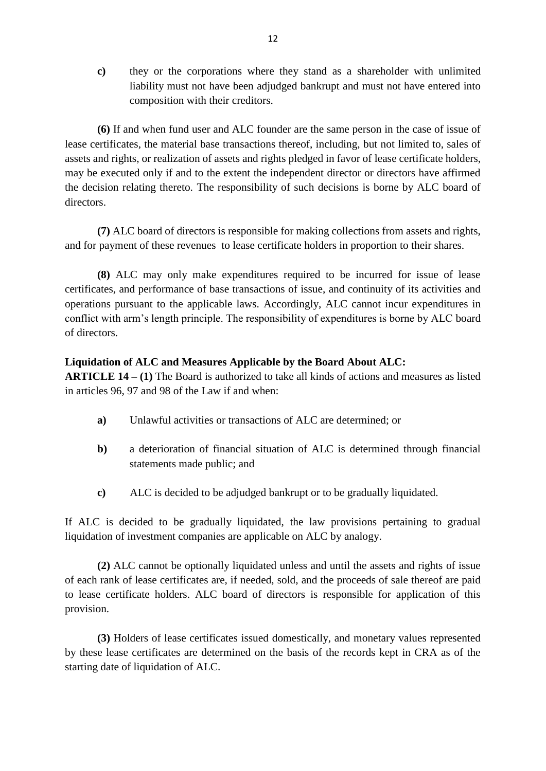**c)** they or the corporations where they stand as a shareholder with unlimited liability must not have been adjudged bankrupt and must not have entered into composition with their creditors.

**(6)** If and when fund user and ALC founder are the same person in the case of issue of lease certificates, the material base transactions thereof, including, but not limited to, sales of assets and rights, or realization of assets and rights pledged in favor of lease certificate holders, may be executed only if and to the extent the independent director or directors have affirmed the decision relating thereto. The responsibility of such decisions is borne by ALC board of directors.

**(7)** ALC board of directors is responsible for making collections from assets and rights, and for payment of these revenues to lease certificate holders in proportion to their shares.

**(8)** ALC may only make expenditures required to be incurred for issue of lease certificates, and performance of base transactions of issue, and continuity of its activities and operations pursuant to the applicable laws. Accordingly, ALC cannot incur expenditures in conflict with arm's length principle. The responsibility of expenditures is borne by ALC board of directors.

### **Liquidation of ALC and Measures Applicable by the Board About ALC:**

**ARTICLE 14 – (1)** The Board is authorized to take all kinds of actions and measures as listed in articles 96, 97 and 98 of the Law if and when:

- **a)** Unlawful activities or transactions of ALC are determined; or
- **b)** a deterioration of financial situation of ALC is determined through financial statements made public; and
- **c)** ALC is decided to be adjudged bankrupt or to be gradually liquidated.

If ALC is decided to be gradually liquidated, the law provisions pertaining to gradual liquidation of investment companies are applicable on ALC by analogy.

**(2)** ALC cannot be optionally liquidated unless and until the assets and rights of issue of each rank of lease certificates are, if needed, sold, and the proceeds of sale thereof are paid to lease certificate holders. ALC board of directors is responsible for application of this provision.

**(3)** Holders of lease certificates issued domestically, and monetary values represented by these lease certificates are determined on the basis of the records kept in CRA as of the starting date of liquidation of ALC.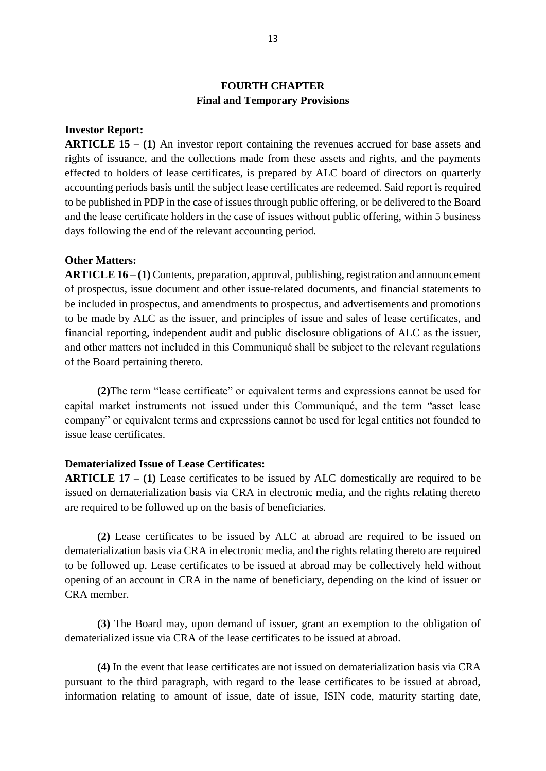## **FOURTH CHAPTER Final and Temporary Provisions**

#### **Investor Report:**

**ARTICLE 15 – (1)** An investor report containing the revenues accrued for base assets and rights of issuance, and the collections made from these assets and rights, and the payments effected to holders of lease certificates, is prepared by ALC board of directors on quarterly accounting periods basis until the subject lease certificates are redeemed. Said report is required to be published in PDP in the case of issues through public offering, or be delivered to the Board and the lease certificate holders in the case of issues without public offering, within 5 business days following the end of the relevant accounting period.

#### **Other Matters:**

**ARTICLE 16 – (1)** Contents, preparation, approval, publishing, registration and announcement of prospectus, issue document and other issue-related documents, and financial statements to be included in prospectus, and amendments to prospectus, and advertisements and promotions to be made by ALC as the issuer, and principles of issue and sales of lease certificates, and financial reporting, independent audit and public disclosure obligations of ALC as the issuer, and other matters not included in this Communiqué shall be subject to the relevant regulations of the Board pertaining thereto.

**(2)**The term "lease certificate" or equivalent terms and expressions cannot be used for capital market instruments not issued under this Communiqué, and the term "asset lease company" or equivalent terms and expressions cannot be used for legal entities not founded to issue lease certificates.

#### **Dematerialized Issue of Lease Certificates:**

**ARTICLE 17 – (1)** Lease certificates to be issued by ALC domestically are required to be issued on dematerialization basis via CRA in electronic media, and the rights relating thereto are required to be followed up on the basis of beneficiaries.

**(2)** Lease certificates to be issued by ALC at abroad are required to be issued on dematerialization basis via CRA in electronic media, and the rights relating thereto are required to be followed up. Lease certificates to be issued at abroad may be collectively held without opening of an account in CRA in the name of beneficiary, depending on the kind of issuer or CRA member.

**(3)** The Board may, upon demand of issuer, grant an exemption to the obligation of dematerialized issue via CRA of the lease certificates to be issued at abroad.

**(4)** In the event that lease certificates are not issued on dematerialization basis via CRA pursuant to the third paragraph, with regard to the lease certificates to be issued at abroad, information relating to amount of issue, date of issue, ISIN code, maturity starting date,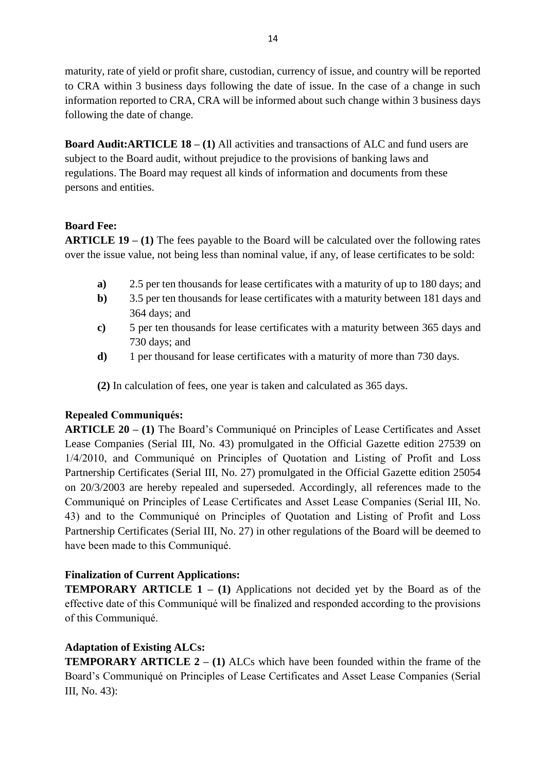maturity, rate of yield or profit share, custodian, currency of issue, and country will be reported to CRA within 3 business days following the date of issue. In the case of a change in such information reported to CRA, CRA will be informed about such change within 3 business days following the date of change.

**Board Audit:ARTICLE 18 – (1)** All activities and transactions of ALC and fund users are subject to the Board audit, without prejudice to the provisions of banking laws and regulations. The Board may request all kinds of information and documents from these persons and entities.

## **Board Fee:**

**ARTICLE 19 – (1)** The fees payable to the Board will be calculated over the following rates over the issue value, not being less than nominal value, if any, of lease certificates to be sold:

- **a)** 2.5 per ten thousands for lease certificates with a maturity of up to 180 days; and
- **b)** 3.5 per ten thousands for lease certificates with a maturity between 181 days and 364 days; and
- **c)** 5 per ten thousands for lease certificates with a maturity between 365 days and 730 days; and
- **d)** 1 per thousand for lease certificates with a maturity of more than 730 days.

**(2)** In calculation of fees, one year is taken and calculated as 365 days.

# **Repealed Communiqués:**

**ARTICLE 20 – (1)** The Board's Communiqué on Principles of Lease Certificates and Asset Lease Companies (Serial III, No. 43) promulgated in the Official Gazette edition 27539 on 1/4/2010, and Communiqué on Principles of Quotation and Listing of Profit and Loss Partnership Certificates (Serial III, No. 27) promulgated in the Official Gazette edition 25054 on 20/3/2003 are hereby repealed and superseded. Accordingly, all references made to the Communiqué on Principles of Lease Certificates and Asset Lease Companies (Serial III, No. 43) and to the Communiqué on Principles of Quotation and Listing of Profit and Loss Partnership Certificates (Serial III, No. 27) in other regulations of the Board will be deemed to have been made to this Communiqué.

# **Finalization of Current Applications:**

**TEMPORARY ARTICLE 1 – (1)** Applications not decided yet by the Board as of the effective date of this Communiqué will be finalized and responded according to the provisions of this Communiqué.

# **Adaptation of Existing ALCs:**

**TEMPORARY ARTICLE 2 – (1)** ALCs which have been founded within the frame of the Board's Communiqué on Principles of Lease Certificates and Asset Lease Companies (Serial III, No. 43):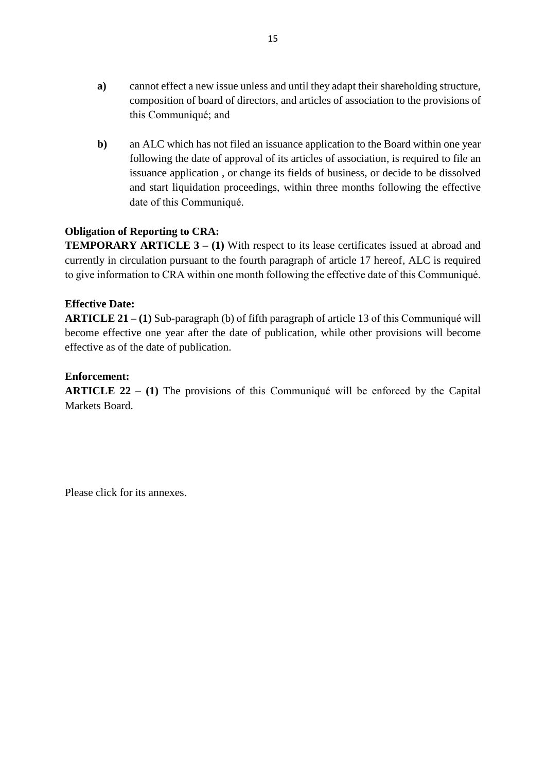- **a)** cannot effect a new issue unless and until they adapt their shareholding structure, composition of board of directors, and articles of association to the provisions of this Communiqué; and
- **b)** an ALC which has not filed an issuance application to the Board within one year following the date of approval of its articles of association, is required to file an issuance application , or change its fields of business, or decide to be dissolved and start liquidation proceedings, within three months following the effective date of this Communiqué.

## **Obligation of Reporting to CRA:**

**TEMPORARY ARTICLE 3 – (1) With respect to its lease certificates issued at abroad and** currently in circulation pursuant to the fourth paragraph of article 17 hereof, ALC is required to give information to CRA within one month following the effective date of this Communiqué.

## **Effective Date:**

**ARTICLE 21 – (1)** Sub-paragraph (b) of fifth paragraph of article 13 of this Communiqué will become effective one year after the date of publication, while other provisions will become effective as of the date of publication.

## **Enforcement:**

**ARTICLE 22 – (1)** The provisions of this Communiqué will be enforced by the Capital Markets Board.

Please click for its annexes.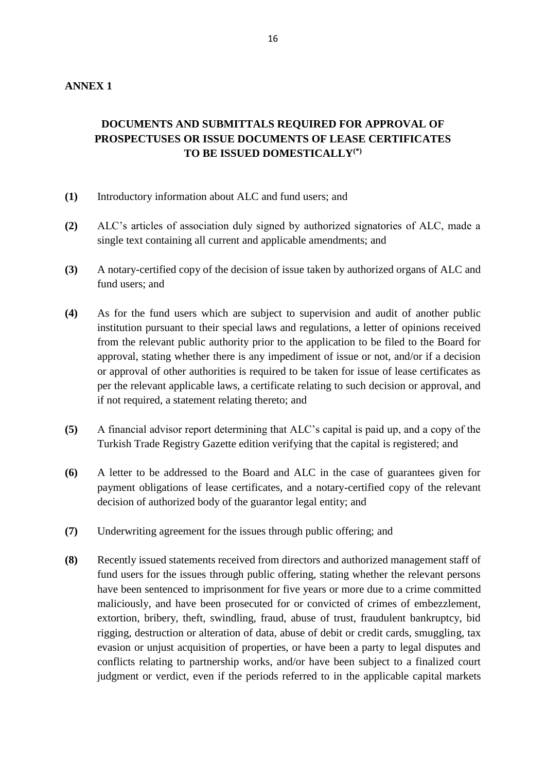# **DOCUMENTS AND SUBMITTALS REQUIRED FOR APPROVAL OF PROSPECTUSES OR ISSUE DOCUMENTS OF LEASE CERTIFICATES TO BE ISSUED DOMESTICALLY(\*)**

- **(1)** Introductory information about ALC and fund users; and
- **(2)** ALC's articles of association duly signed by authorized signatories of ALC, made a single text containing all current and applicable amendments; and
- **(3)** A notary-certified copy of the decision of issue taken by authorized organs of ALC and fund users; and
- **(4)** As for the fund users which are subject to supervision and audit of another public institution pursuant to their special laws and regulations, a letter of opinions received from the relevant public authority prior to the application to be filed to the Board for approval, stating whether there is any impediment of issue or not, and/or if a decision or approval of other authorities is required to be taken for issue of lease certificates as per the relevant applicable laws, a certificate relating to such decision or approval, and if not required, a statement relating thereto; and
- **(5)** A financial advisor report determining that ALC's capital is paid up, and a copy of the Turkish Trade Registry Gazette edition verifying that the capital is registered; and
- **(6)** A letter to be addressed to the Board and ALC in the case of guarantees given for payment obligations of lease certificates, and a notary-certified copy of the relevant decision of authorized body of the guarantor legal entity; and
- **(7)** Underwriting agreement for the issues through public offering; and
- **(8)** Recently issued statements received from directors and authorized management staff of fund users for the issues through public offering, stating whether the relevant persons have been sentenced to imprisonment for five years or more due to a crime committed maliciously, and have been prosecuted for or convicted of crimes of embezzlement, extortion, bribery, theft, swindling, fraud, abuse of trust, fraudulent bankruptcy, bid rigging, destruction or alteration of data, abuse of debit or credit cards, smuggling, tax evasion or unjust acquisition of properties, or have been a party to legal disputes and conflicts relating to partnership works, and/or have been subject to a finalized court judgment or verdict, even if the periods referred to in the applicable capital markets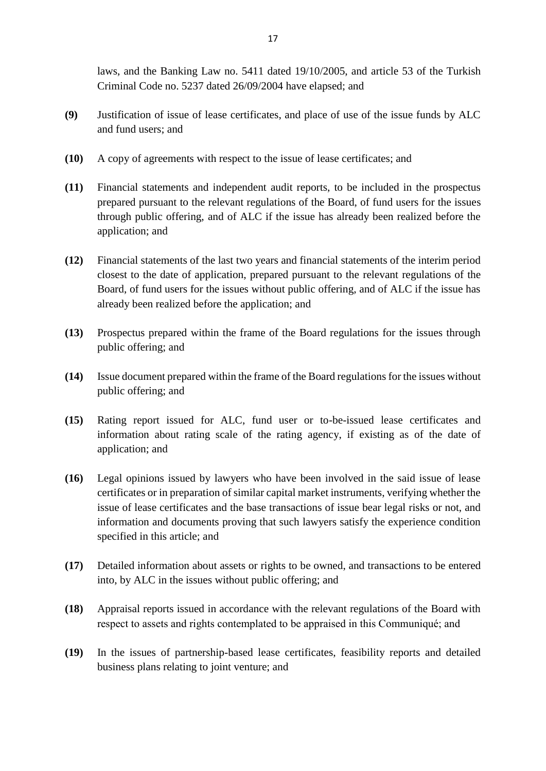laws, and the Banking Law no. 5411 dated 19/10/2005, and article 53 of the Turkish Criminal Code no. 5237 dated 26/09/2004 have elapsed; and

- **(9)** Justification of issue of lease certificates, and place of use of the issue funds by ALC and fund users; and
- **(10)** A copy of agreements with respect to the issue of lease certificates; and
- **(11)** Financial statements and independent audit reports, to be included in the prospectus prepared pursuant to the relevant regulations of the Board, of fund users for the issues through public offering, and of ALC if the issue has already been realized before the application; and
- **(12)** Financial statements of the last two years and financial statements of the interim period closest to the date of application, prepared pursuant to the relevant regulations of the Board, of fund users for the issues without public offering, and of ALC if the issue has already been realized before the application; and
- **(13)** Prospectus prepared within the frame of the Board regulations for the issues through public offering; and
- **(14)** Issue document prepared within the frame of the Board regulations for the issues without public offering; and
- **(15)** Rating report issued for ALC, fund user or to-be-issued lease certificates and information about rating scale of the rating agency, if existing as of the date of application; and
- **(16)** Legal opinions issued by lawyers who have been involved in the said issue of lease certificates or in preparation of similar capital market instruments, verifying whether the issue of lease certificates and the base transactions of issue bear legal risks or not, and information and documents proving that such lawyers satisfy the experience condition specified in this article; and
- **(17)** Detailed information about assets or rights to be owned, and transactions to be entered into, by ALC in the issues without public offering; and
- **(18)** Appraisal reports issued in accordance with the relevant regulations of the Board with respect to assets and rights contemplated to be appraised in this Communiqué; and
- **(19)** In the issues of partnership-based lease certificates, feasibility reports and detailed business plans relating to joint venture; and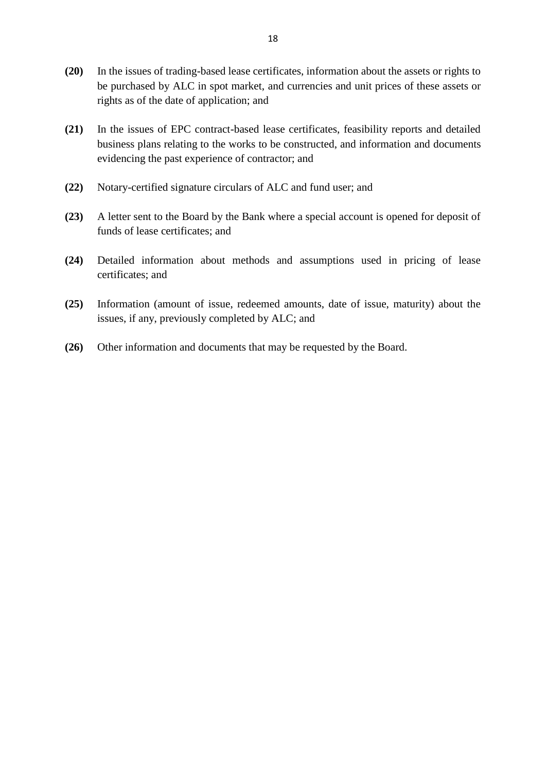- **(20)** In the issues of trading-based lease certificates, information about the assets or rights to be purchased by ALC in spot market, and currencies and unit prices of these assets or rights as of the date of application; and
- **(21)** In the issues of EPC contract-based lease certificates, feasibility reports and detailed business plans relating to the works to be constructed, and information and documents evidencing the past experience of contractor; and
- **(22)** Notary-certified signature circulars of ALC and fund user; and
- **(23)** A letter sent to the Board by the Bank where a special account is opened for deposit of funds of lease certificates; and
- **(24)** Detailed information about methods and assumptions used in pricing of lease certificates; and
- **(25)** Information (amount of issue, redeemed amounts, date of issue, maturity) about the issues, if any, previously completed by ALC; and
- **(26)** Other information and documents that may be requested by the Board.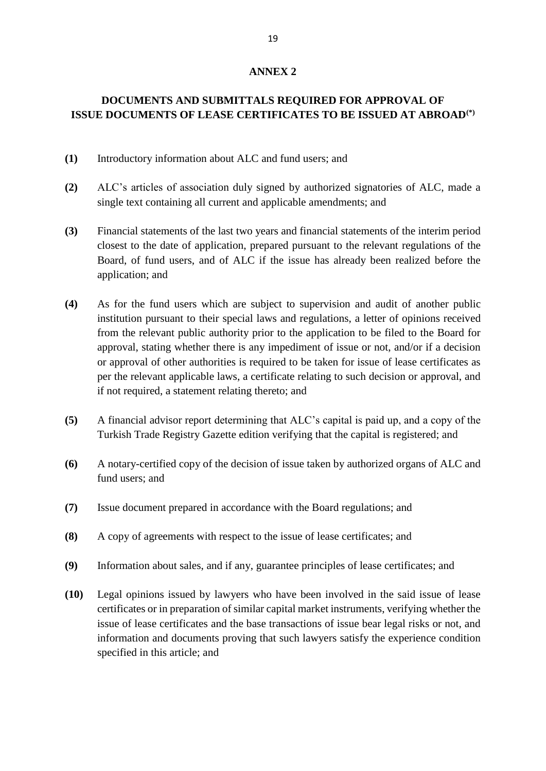# **DOCUMENTS AND SUBMITTALS REQUIRED FOR APPROVAL OF ISSUE DOCUMENTS OF LEASE CERTIFICATES TO BE ISSUED AT ABROAD(\*)**

- **(1)** Introductory information about ALC and fund users; and
- **(2)** ALC's articles of association duly signed by authorized signatories of ALC, made a single text containing all current and applicable amendments; and
- **(3)** Financial statements of the last two years and financial statements of the interim period closest to the date of application, prepared pursuant to the relevant regulations of the Board, of fund users, and of ALC if the issue has already been realized before the application; and
- **(4)** As for the fund users which are subject to supervision and audit of another public institution pursuant to their special laws and regulations, a letter of opinions received from the relevant public authority prior to the application to be filed to the Board for approval, stating whether there is any impediment of issue or not, and/or if a decision or approval of other authorities is required to be taken for issue of lease certificates as per the relevant applicable laws, a certificate relating to such decision or approval, and if not required, a statement relating thereto; and
- **(5)** A financial advisor report determining that ALC's capital is paid up, and a copy of the Turkish Trade Registry Gazette edition verifying that the capital is registered; and
- **(6)** A notary-certified copy of the decision of issue taken by authorized organs of ALC and fund users; and
- **(7)** Issue document prepared in accordance with the Board regulations; and
- **(8)** A copy of agreements with respect to the issue of lease certificates; and
- **(9)** Information about sales, and if any, guarantee principles of lease certificates; and
- **(10)** Legal opinions issued by lawyers who have been involved in the said issue of lease certificates or in preparation of similar capital market instruments, verifying whether the issue of lease certificates and the base transactions of issue bear legal risks or not, and information and documents proving that such lawyers satisfy the experience condition specified in this article; and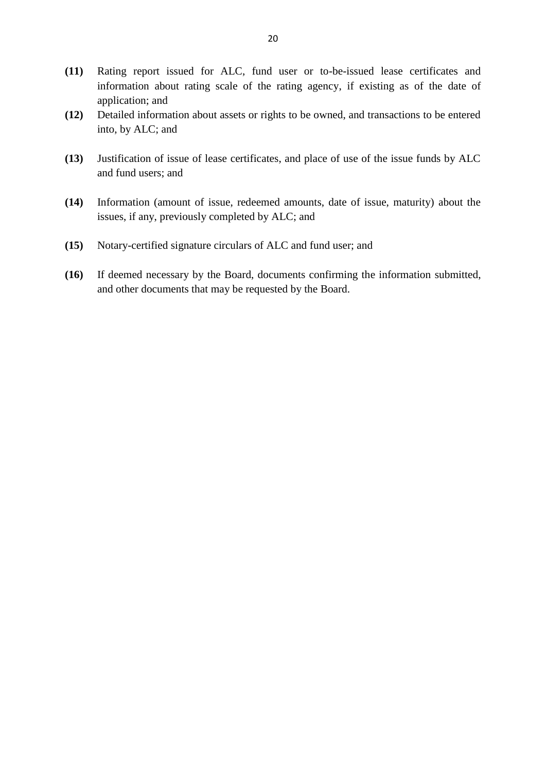- **(11)** Rating report issued for ALC, fund user or to-be-issued lease certificates and information about rating scale of the rating agency, if existing as of the date of application; and
- **(12)** Detailed information about assets or rights to be owned, and transactions to be entered into, by ALC; and
- **(13)** Justification of issue of lease certificates, and place of use of the issue funds by ALC and fund users; and
- **(14)** Information (amount of issue, redeemed amounts, date of issue, maturity) about the issues, if any, previously completed by ALC; and
- **(15)** Notary-certified signature circulars of ALC and fund user; and
- **(16)** If deemed necessary by the Board, documents confirming the information submitted, and other documents that may be requested by the Board.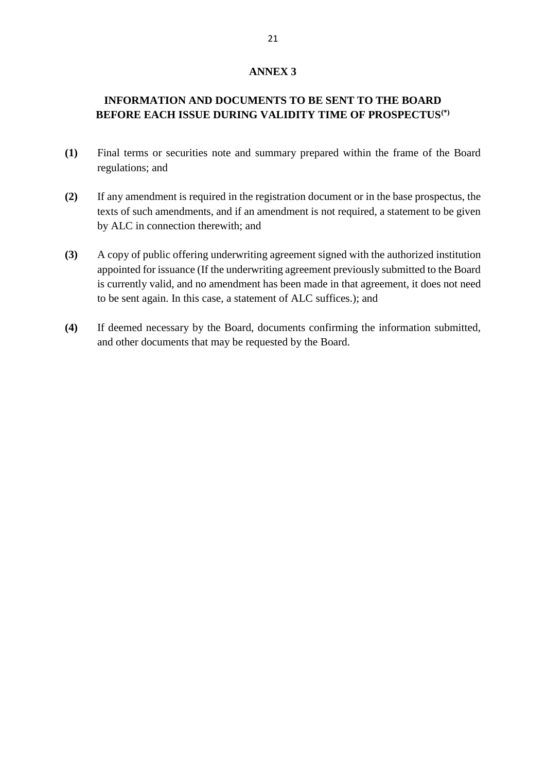## **INFORMATION AND DOCUMENTS TO BE SENT TO THE BOARD BEFORE EACH ISSUE DURING VALIDITY TIME OF PROSPECTUS(\*)**

- **(1)** Final terms or securities note and summary prepared within the frame of the Board regulations; and
- **(2)** If any amendment is required in the registration document or in the base prospectus, the texts of such amendments, and if an amendment is not required, a statement to be given by ALC in connection therewith; and
- **(3)** A copy of public offering underwriting agreement signed with the authorized institution appointed for issuance (If the underwriting agreement previously submitted to the Board is currently valid, and no amendment has been made in that agreement, it does not need to be sent again. In this case, a statement of ALC suffices.); and
- **(4)** If deemed necessary by the Board, documents confirming the information submitted, and other documents that may be requested by the Board.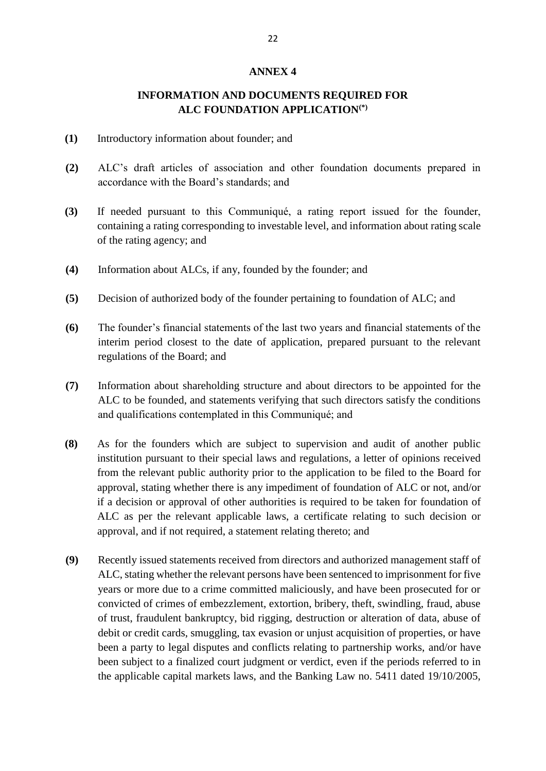## **INFORMATION AND DOCUMENTS REQUIRED FOR ALC FOUNDATION APPLICATION(\*)**

- **(1)** Introductory information about founder; and
- **(2)** ALC's draft articles of association and other foundation documents prepared in accordance with the Board's standards; and
- **(3)** If needed pursuant to this Communiqué, a rating report issued for the founder, containing a rating corresponding to investable level, and information about rating scale of the rating agency; and
- **(4)** Information about ALCs, if any, founded by the founder; and
- **(5)** Decision of authorized body of the founder pertaining to foundation of ALC; and
- **(6)** The founder's financial statements of the last two years and financial statements of the interim period closest to the date of application, prepared pursuant to the relevant regulations of the Board; and
- **(7)** Information about shareholding structure and about directors to be appointed for the ALC to be founded, and statements verifying that such directors satisfy the conditions and qualifications contemplated in this Communiqué; and
- **(8)** As for the founders which are subject to supervision and audit of another public institution pursuant to their special laws and regulations, a letter of opinions received from the relevant public authority prior to the application to be filed to the Board for approval, stating whether there is any impediment of foundation of ALC or not, and/or if a decision or approval of other authorities is required to be taken for foundation of ALC as per the relevant applicable laws, a certificate relating to such decision or approval, and if not required, a statement relating thereto; and
- **(9)** Recently issued statements received from directors and authorized management staff of ALC, stating whether the relevant persons have been sentenced to imprisonment for five years or more due to a crime committed maliciously, and have been prosecuted for or convicted of crimes of embezzlement, extortion, bribery, theft, swindling, fraud, abuse of trust, fraudulent bankruptcy, bid rigging, destruction or alteration of data, abuse of debit or credit cards, smuggling, tax evasion or unjust acquisition of properties, or have been a party to legal disputes and conflicts relating to partnership works, and/or have been subject to a finalized court judgment or verdict, even if the periods referred to in the applicable capital markets laws, and the Banking Law no. 5411 dated 19/10/2005,